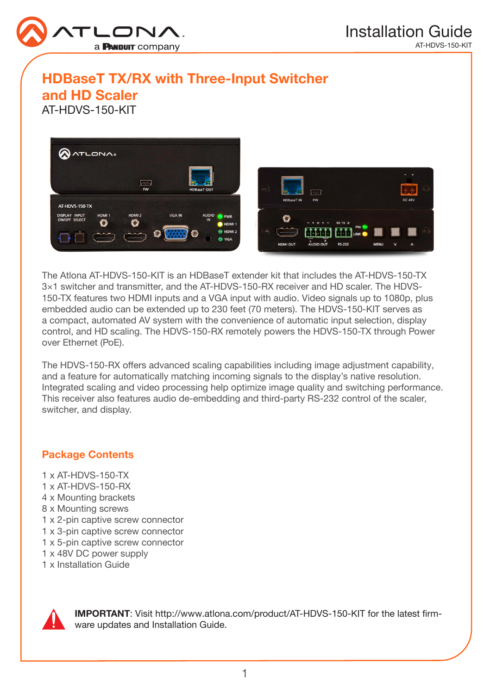

# HDBaseT TX/RX with Three-Input Switcher

and HD Scaler

AT-HDVS-150-KIT



The Atlona AT-HDVS-150-KIT is an HDBaseT extender kit that includes the AT-HDVS-150-TX 3×1 switcher and transmitter, and the AT-HDVS-150-RX receiver and HD scaler. The HDVS-150-TX features two HDMI inputs and a VGA input with audio. Video signals up to 1080p, plus embedded audio can be extended up to 230 feet (70 meters). The HDVS-150-KIT serves as a compact, automated AV system with the convenience of automatic input selection, display control, and HD scaling. The HDVS-150-RX remotely powers the HDVS-150-TX through Power over Ethernet (PoE).

The HDVS-150-RX offers advanced scaling capabilities including image adjustment capability, and a feature for automatically matching incoming signals to the display's native resolution. Integrated scaling and video processing help optimize image quality and switching performance. This receiver also features audio de-embedding and third-party RS-232 control of the scaler, switcher, and display.

## Package Contents

1 x AT-HDVS-150-TX 1 x AT-HDVS-150-RX 4 x Mounting brackets 8 x Mounting screws 1 x 2-pin captive screw connector 1 x 3-pin captive screw connector 1 x 5-pin captive screw connector 1 x 48V DC power supply 1 x Installation Guide



IMPORTANT: Visit http://www.atlona.com/product/AT-HDVS-150-KIT for the latest firmware updates and Installation Guide.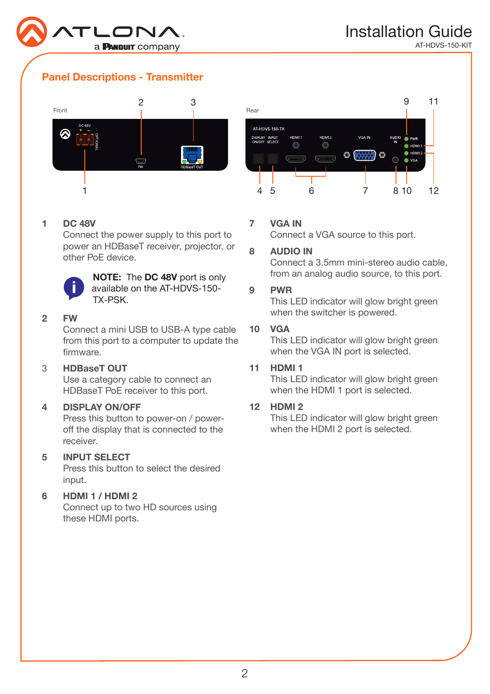

## Panel Descriptions - Transmitter



#### 1 DC 48V

Connect the power supply to this port to power an HDBaseT receiver, projector, or other PoE device.



NOTE: The DC 48V port is only available on the AT-HDVS-150- TX-PSK.

#### 2 FW

Connect a mini USB to USB-A type cable from this port to a computer to update the firmware.

#### 3 HDBaseT OUT

Use a category cable to connect an HDBaseT PoE receiver to this port.

#### 4 DISPLAY ON/OFF

Press this button to power-on / poweroff the display that is connected to the receiver.

## 5 INPUT SELECT

Press this button to select the desired input.

#### 6 HDMI 1 / HDMI 2

Connect up to two HD sources using these HDMI ports.



### 7 VGA IN

Connect a VGA source to this port.

#### 8 AUDIO IN

Connect a 3.5mm mini-stereo audio cable, from an analog audio source, to this port.

#### 9 PWR

This LED indicator will glow bright green when the switcher is powered.

#### 10 VGA

This LED indicator will glow bright green when the VGA IN port is selected.

#### 11 HDMI 1

This LED indicator will glow bright green when the HDMI 1 port is selected.

#### 12 HDMI 2

This LED indicator will glow bright green when the HDMI 2 port is selected.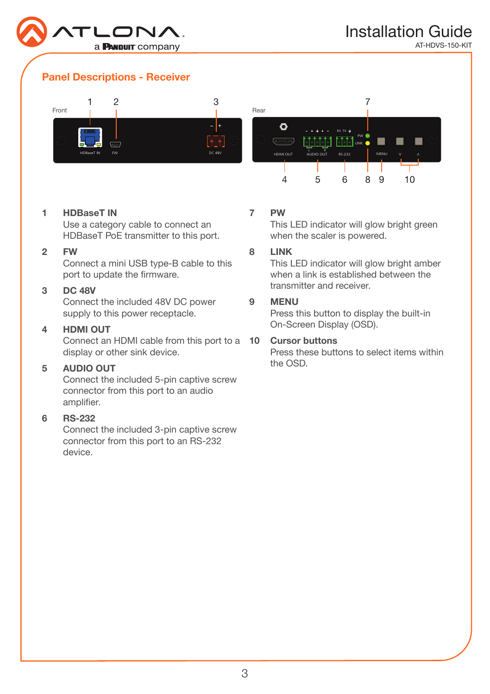

## Panel Descriptions - Receiver



#### 1 HDBaseT IN

**TIBBASET IN**<br>Use a category cable to connect an HDBaseT PoE transmitter to this port.

#### 2 FW

Connect a mini USB type-B cable to this port to update the firmware.

#### 3 DC 48V

Connect the included 48V DC power supply to this power receptacle.

#### 4 HDMI OUT

Connect an HDMI cable from this port to a **10 Cursor buttons** display or other sink device.

#### 5 AUDIO OUT

Connect the included 5-pin captive screw connector from this port to an audio amplifier.

#### 6 RS-232

Connect the included 3-pin captive screw connector from this port to an RS-232 device.

### 7 PW

This LED indicator will glow bright green when the scaler is powered.

#### 8 LINK

This LED indicator will glow bright amber when a link is established between the transmitter and receiver.

#### 9 MENU

Press this button to display the built-in On-Screen Display (OSD).

Press these buttons to select items within the OSD.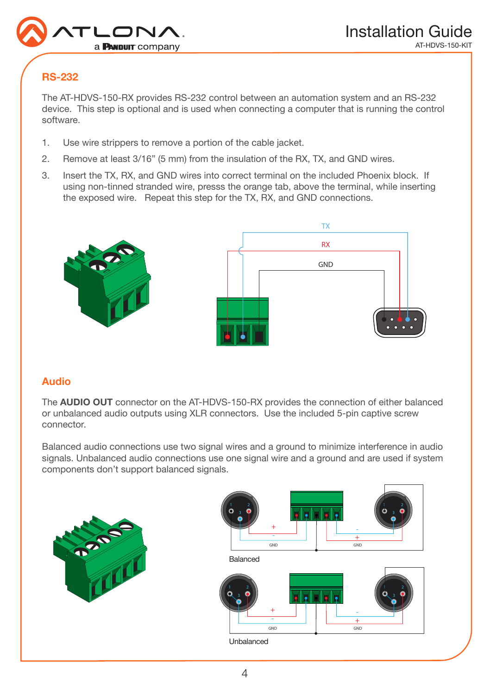

## RS-232

The AT-HDVS-150-RX provides RS-232 control between an automation system and an RS-232 device. This step is optional and is used when connecting a computer that is running the control software.

- 1. Use wire strippers to remove a portion of the cable jacket.
- 2. Remove at least 3/16" (5 mm) from the insulation of the RX, TX, and GND wires.
- 3. Insert the TX, RX, and GND wires into correct terminal on the included Phoenix block. If using non-tinned stranded wire, presss the orange tab, above the terminal, while inserting the exposed wire. Repeat this step for the TX, RX, and GND connections.



## Audio

The AUDIO OUT connector on the AT-HDVS-150-RX provides the connection of either balanced or unbalanced audio outputs using XLR connectors. Use the included 5-pin captive screw connector.

Balanced audio connections use two signal wires and a ground to minimize interference in audio signals. Unbalanced audio connections use one signal wire and a ground and are used if system components don't support balanced signals.



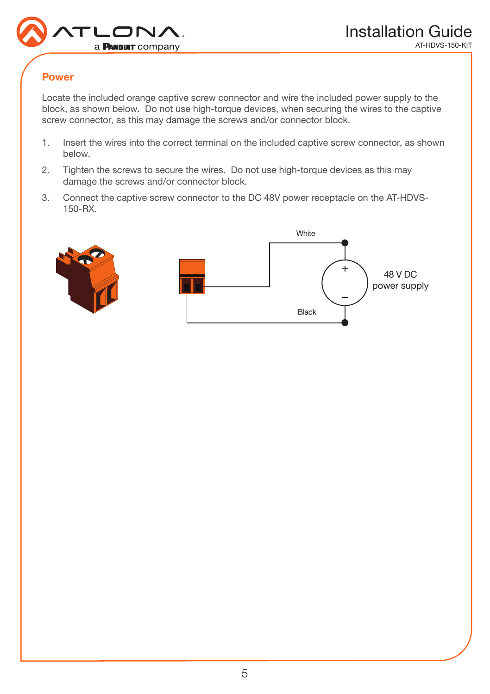

## Power

Locate the included orange captive screw connector and wire the included power supply to the block, as shown below. Do not use high-torque devices, when securing the wires to the captive screw connector, as this may damage the screws and/or connector block.

- 1. Insert the wires into the correct terminal on the included captive screw connector, as shown below.
- 2. Tighten the screws to secure the wires. Do not use high-torque devices as this may damage the screws and/or connector block.
- 3. Connect the captive screw connector to the DC 48V power receptacle on the AT-HDVS-150-RX.

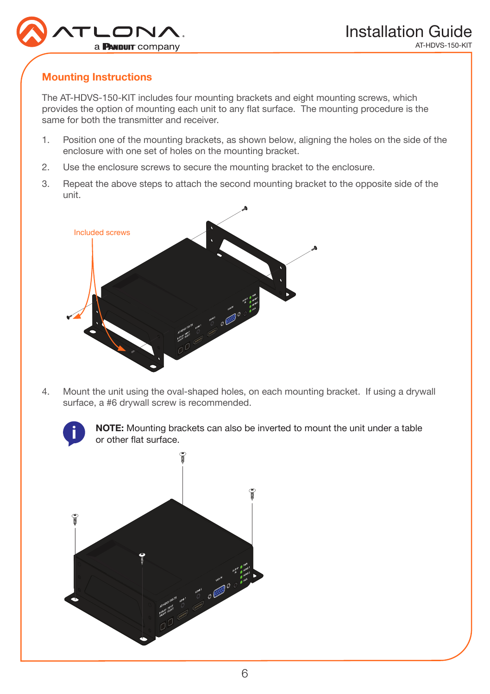

## Mounting Instructions

The AT-HDVS-150-KIT includes four mounting brackets and eight mounting screws, which provides the option of mounting each unit to any flat surface. The mounting procedure is the same for both the transmitter and receiver.

- 1. Position one of the mounting brackets, as shown below, aligning the holes on the side of the enclosure with one set of holes on the mounting bracket.
- 2. Use the enclosure screws to secure the mounting bracket to the enclosure.
- 3. Repeat the above steps to attach the second mounting bracket to the opposite side of the unit.



4. Mount the unit using the oval-shaped holes, on each mounting bracket. If using a drywall surface, a #6 drywall screw is recommended.



NOTE: Mounting brackets can also be inverted to mount the unit under a table or other flat surface.

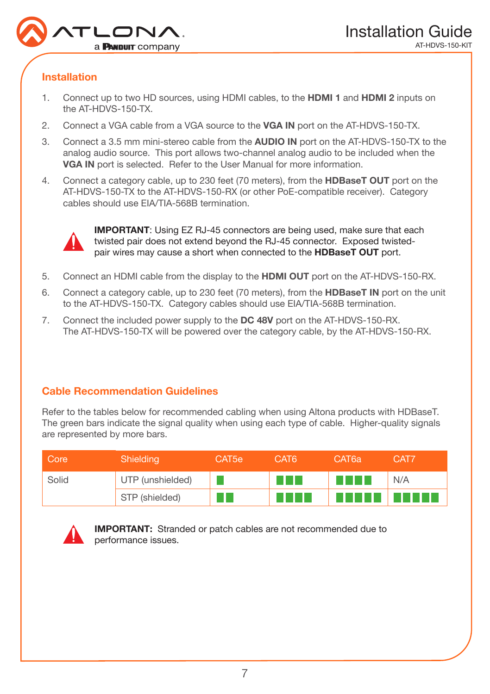

## Installation

- 1. Connect up to two HD sources, using HDMI cables, to the HDMI 1 and HDMI 2 inputs on the AT-HDVS-150-TX.
- 2. Connect a VGA cable from a VGA source to the VGA IN port on the AT-HDVS-150-TX.
- 3. Connect a 3.5 mm mini-stereo cable from the AUDIO IN port on the AT-HDVS-150-TX to the analog audio source. This port allows two-channel analog audio to be included when the VGA IN port is selected. Refer to the User Manual for more information.
- 4. Connect a category cable, up to 230 feet (70 meters), from the **HDBaseT OUT** port on the AT-HDVS-150-TX to the AT-HDVS-150-RX (or other PoE-compatible receiver). Category cables should use EIA/TIA-568B termination.



IMPORTANT: Using EZ RJ-45 connectors are being used, make sure that each twisted pair does not extend beyond the RJ-45 connector. Exposed twistedpair wires may cause a short when connected to the HDBaseT OUT port.

- 5. Connect an HDMI cable from the display to the HDMI OUT port on the AT-HDVS-150-RX.
- 6. Connect a category cable, up to 230 feet (70 meters), from the HDBaseT IN port on the unit to the AT-HDVS-150-TX. Category cables should use EIA/TIA-568B termination.
- 7. Connect the included power supply to the DC 48V port on the AT-HDVS-150-RX. The AT-HDVS-150-TX will be powered over the category cable, by the AT-HDVS-150-RX.

## Cable Recommendation Guidelines

Refer to the tables below for recommended cabling when using Altona products with HDBaseT. The green bars indicate the signal quality when using each type of cable. Higher-quality signals are represented by more bars.

| Core  | Shielding        | CAT5e | CAT6            | CAT6a               | CAT7 |
|-------|------------------|-------|-----------------|---------------------|------|
| Solid | UTP (unshielded) |       | a katika        | and a strong of the | N/A  |
|       | STP (shielded)   |       | and a strong of |                     |      |



IMPORTANT: Stranded or patch cables are not recommended due to performance issues.